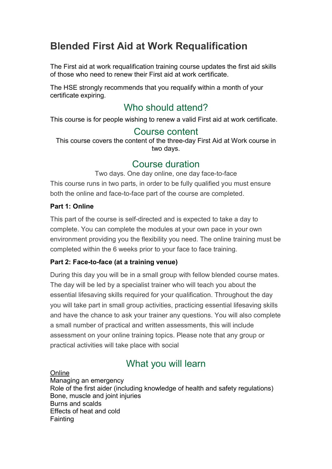# Blended First Aid at Work Requalification

The First aid at work requalification training course updates the first aid skills of those who need to renew their First aid at work certificate.

The HSE strongly recommends that you requalify within a month of your certificate expiring.

# Who should attend?

This course is for people wishing to renew a valid First aid at work certificate.

## Course content

This course covers the content of the three-day First Aid at Work course in two days.

# Course duration

Two days. One day online, one day face-to-face This course runs in two parts, in order to be fully qualified you must ensure

both the online and face-to-face part of the course are completed.

#### Part 1: Online

This part of the course is self-directed and is expected to take a day to complete. You can complete the modules at your own pace in your own environment providing you the flexibility you need. The online training must be completed within the 6 weeks prior to your face to face training.

#### Part 2: Face-to-face (at a training venue)

During this day you will be in a small group with fellow blended course mates. The day will be led by a specialist trainer who will teach you about the essential lifesaving skills required for your qualification. Throughout the day you will take part in small group activities, practicing essential lifesaving skills and have the chance to ask your trainer any questions. You will also complete a small number of practical and written assessments, this will include assessment on your online training topics. Please note that any group or practical activities will take place with social

# What you will learn

**Online** Managing an emergency Role of the first aider (including knowledge of health and safety regulations) Bone, muscle and joint injuries Burns and scalds Effects of heat and cold **Fainting**